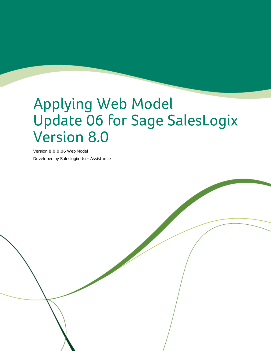# Applying Web Model Update 06 for Sage SalesLogix Version 8.0

Version 8.0.0.06 Web Model Developed by Saleslogix User Assistance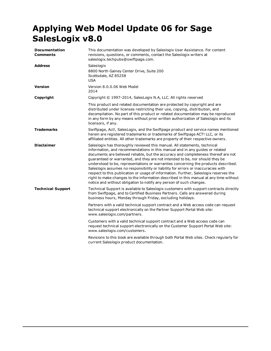# **Applying Web Model Update 06 for Sage SalesLogix v8.0**

| <b>Documentation</b><br><b>Comments</b> | This documentation was developed by Saleslogix User Assistance. For content<br>revisions, questions, or comments, contact the Saleslogix writers at<br>saleslogix.techpubs@swiftpage.com.                                                                                                                                                                                                                                                                                                                                                                                                                                                                                                                                                                           |  |
|-----------------------------------------|---------------------------------------------------------------------------------------------------------------------------------------------------------------------------------------------------------------------------------------------------------------------------------------------------------------------------------------------------------------------------------------------------------------------------------------------------------------------------------------------------------------------------------------------------------------------------------------------------------------------------------------------------------------------------------------------------------------------------------------------------------------------|--|
| <b>Address</b>                          | Saleslogix<br>8800 North Gainey Center Drive, Suite 200<br>Scottsdale, AZ 85258<br><b>USA</b>                                                                                                                                                                                                                                                                                                                                                                                                                                                                                                                                                                                                                                                                       |  |
| <b>Version</b>                          | Version 8.0.0.06 Web Model<br>2014                                                                                                                                                                                                                                                                                                                                                                                                                                                                                                                                                                                                                                                                                                                                  |  |
| Copyright                               | Copyright © 1997-2014, SalesLogix N.A, LLC. All rights reserved                                                                                                                                                                                                                                                                                                                                                                                                                                                                                                                                                                                                                                                                                                     |  |
|                                         | This product and related documentation are protected by copyright and are<br>distributed under licenses restricting their use, copying, distribution, and<br>decompilation. No part of this product or related documentation may be reproduced<br>in any form by any means without prior written authorization of Saleslogix and its<br>licensors, if any.                                                                                                                                                                                                                                                                                                                                                                                                          |  |
| <b>Trademarks</b>                       | Swiftpage, Act!, SalesLogix, and the Swiftpage product and service names mentioned<br>herein are registered trademarks or trademarks of Swiftpage ACT! LLC, or its<br>affiliated entities. All other trademarks are property of their respective owners.                                                                                                                                                                                                                                                                                                                                                                                                                                                                                                            |  |
| <b>Disclaimer</b>                       | Saleslogix has thoroughly reviewed this manual. All statements, technical<br>information, and recommendations in this manual and in any guides or related<br>documents are believed reliable, but the accuracy and completeness thereof are not<br>guaranteed or warranted, and they are not intended to be, nor should they be<br>understood to be, representations or warranties concerning the products described.<br>Saleslogix assumes no responsibility or liability for errors or inaccuracies with<br>respect to this publication or usage of information. Further, Saleslogix reserves the<br>right to make changes to the information described in this manual at any time without<br>notice and without obligation to notify any person of such changes. |  |
| <b>Technical Support</b>                | Technical Support is available to Saleslogix customers with support contracts directly<br>from Swiftpage, and to Certified Business Partners. Calls are answered during<br>business hours, Monday through Friday, excluding holidays.                                                                                                                                                                                                                                                                                                                                                                                                                                                                                                                               |  |
|                                         | Partners with a valid technical support contract and a Web access code can request<br>technical support electronically on the Partner Support Portal Web site:<br>www.saleslogix.com/partners.                                                                                                                                                                                                                                                                                                                                                                                                                                                                                                                                                                      |  |
|                                         | Customers with a valid technical support contract and a Web access code can<br>request technical support electronically on the Customer Support Portal Web site:<br>www.saleslogix.com/customers.                                                                                                                                                                                                                                                                                                                                                                                                                                                                                                                                                                   |  |
|                                         | Revisions to this book are available through both Portal Web sites. Check regularly for<br>current Saleslogix product documentation.                                                                                                                                                                                                                                                                                                                                                                                                                                                                                                                                                                                                                                |  |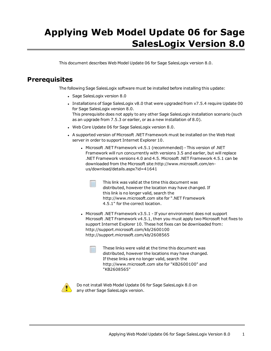# **Applying Web Model Update 06 for Sage SalesLogix Version 8.0**

This document describes Web Model Update 06 for Sage SalesLogix version 8.0.

# **Prerequisites**

The following Sage SalesLogix software must be installed before installing this update:

- Sage SalesLogix version 8.0
- Installations of Sage SalesLogix v8.0 that were upgraded from v7.5.4 require Update 00 for Sage SalesLogix version 8.0. This prerequisite does not apply to any other Sage SalesLogix installation scenario (such as an upgrade from 7.5.3 or earlier, or as a new installation of 8.0).
- . Web Core Update 06 for Sage SalesLogix version 8.0.
- <sup>l</sup> A supported version of Microsoft .NET [Framework](http://www.microsoft.com/en-us/download/details.aspx?id=30653) must be installed on the Web Host server in order to support [Internet](http://www.microsoft.com/en-us/download/details.aspx?id=30653) Explorer 10.
	- <sup>l</sup> Microsoft .NET Framework v4.5.1 [\(recommended\)](http://www.microsoft.com/en-us/download/details.aspx?id=30653) This version of .NET Framework will run [concurrently](http://www.microsoft.com/en-us/download/details.aspx?id=30653) with versions 3.5 and earlier, but will replace .NET [Framework](http://www.microsoft.com/en-us/download/details.aspx?id=30653) versions 4.0 and 4.5. Microsoft .NET Framework 4.5.1 can be downloaded from the Microsoft [site:http://www.microsoft.com/en](http://www.microsoft.com/en-us/download/details.aspx?id=30653)[us/download/details.aspx?id=41641](http://www.microsoft.com/en-us/download/details.aspx?id=30653)
		- This link was valid at the time this document was distributed, however the location may have changed. If this link is no longer valid, search the http://www.microsoft.com site for ".NET Framework 4.5.1" for the correct location.
	- Microsoft .NET Framework  $v3.5.1$  If your environment does not support Microsoft .NET Framework v4.5.1, then you must apply two Microsoft hot fixes to support Internet Explorer 10. These hot fixes can be downloaded from: http://support.microsoft.com/kb/2600100 http://support.microsoft.com/kb/2608565
		- These links were valid at the time this document was distributed, however the locations may have changed. If these links are no longer valid, search the http://www.microsoft.com site for "KB2600100" and "KB2608565"



Do not install Web Model Update 06 for Sage SalesLogix 8.0 on any other Sage SalesLogix version.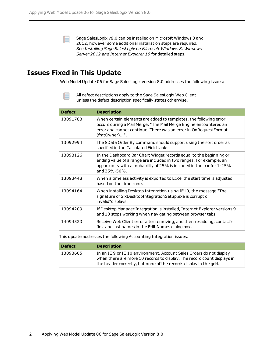Sage SalesLogix v8.0 can be installed on Microsoft Windows 8 and 2012, however some additional installation steps are required. See *Installing Sage SalesLogix on Microsoft Windows 8, Windows Server 2012 and Internet Explorer 10* for detailed steps.

## **Issues Fixed in This Update**

Web Model Update 06 for Sage SalesLogix version 8.0 addresses the following issues:

All defect descriptions apply to the Sage SalesLogix Web Client unless the defect description specifically states otherwise.

| <b>Defect</b> | <b>Description</b>                                                                                                                                                                                                                        |
|---------------|-------------------------------------------------------------------------------------------------------------------------------------------------------------------------------------------------------------------------------------------|
| 13091783      | When certain elements are added to templates, the following error<br>occurs during a Mail Merge, "The Mail Merge Engine encountered an<br>error and cannot continue. There was an error in OnRequestFormat<br>(fmtOwner)".                |
| 13092994      | The SData Order By command should support using the sort order as<br>specified in the Calculated Field table.                                                                                                                             |
| 13093126      | In the Dashboard Bar Chart Widget records equal to the beginning or<br>ending value of a range are included in two ranges. For example, an<br>opportunity with a probability of 25% is included in the bar for 1-25%<br>and $25% - 50%$ . |
| 13093448      | When a timeless activity is exported to Excel the start time is adjusted<br>based on the time zone.                                                                                                                                       |
| 13094164      | When installing Desktop Integration using IE10, the message "The<br>signature of SlxDesktopIntegrationSetup.exe is corrupt or<br>invalid" displays.                                                                                       |
| 13094209      | If Desktop Manager Integration is installed, Internet Explorer versions 9<br>and 10 stops working when navigating between browser tabs.                                                                                                   |
| 14094523      | Receive Web Client error after removing, and then re-adding, contact's<br>first and last names in the Edit Names dialog box.                                                                                                              |

This update addresses the following Accounting Integration issues:

| <b>Defect</b> | <b>Description</b>                                                                                                                                                                                                    |
|---------------|-----------------------------------------------------------------------------------------------------------------------------------------------------------------------------------------------------------------------|
| 13093605      | In an IE 9 or IE 10 environment, Account Sales Orders do not display<br>when there are more 10 records to display. The record count displays in<br>the header correctly, but none of the records display in the grid. |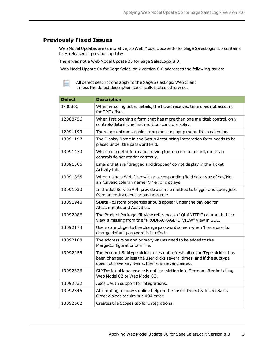#### **Previously Fixed Issues**

Web Model Updates are cumulative, so Web Model Update 06 for Sage SalesLogix 8.0 contains fixes released in previous updates.

There was not a Web Model Update 05 for Sage SalesLogix 8.0.

Web Model Update 04 for Sage SalesLogix version 8.0 addresses the following issues:

All defect descriptions apply to the Sage SalesLogix Web Client unless the defect description specifically states otherwise.

| <b>Defect</b> | <b>Description</b>                                                                                                                                                                                        |  |  |  |
|---------------|-----------------------------------------------------------------------------------------------------------------------------------------------------------------------------------------------------------|--|--|--|
| 1-80803       | When emailing ticket details, the ticket received time does not account<br>for GMT offset.                                                                                                                |  |  |  |
| 12088756      | When first opening a form that has more than one multitab control, only<br>controls/data in the first multitab control display.                                                                           |  |  |  |
| 12091193      | There are untranslatable strings on the popup menu list in calendar.                                                                                                                                      |  |  |  |
| 13091197      | The Display Name in the Setup Accounting Integration form needs to be<br>placed under the password field.                                                                                                 |  |  |  |
| 13091473      | When on a detail form and moving from record to record, multitab<br>controls do not render correctly.                                                                                                     |  |  |  |
| 13091506      | Emails that are "dragged and dropped" do not display in the Ticket<br>Activity tab.                                                                                                                       |  |  |  |
| 13091855      | When using a Web filter with a corresponding field data type of Yes/No,<br>an "Invalid column name 'N'" error displays.                                                                                   |  |  |  |
| 13091933      | In the Job Service API, provide a simple method to trigger and query jobs<br>from an entity event or business rule.                                                                                       |  |  |  |
| 13091940      | SData - custom properties should appear under the payload for<br>Attachments and Activities.                                                                                                              |  |  |  |
| 13092086      | The Product Package Kit View references a "QUANTITY" column, but the<br>view is missing from the "PRODPACKAGEKITVIEW" view in SQL.                                                                        |  |  |  |
| 13092174      | Users cannot get to the change password screen when 'Force user to<br>change default password' is in effect.                                                                                              |  |  |  |
| 13092188      | The address type and primary values need to be added to the<br>MergeConfiguration.xml file.                                                                                                               |  |  |  |
| 13092255      | The Account Subtype picklist does not refresh after the Type picklist has<br>been changed unless the user clicks several times, and if the subtype<br>does not have any items, the list is never cleared. |  |  |  |
| 13092326      | SLXDesktopManager.exe is not translating into German after installing<br>Web Model 02 or Web Model 03,                                                                                                    |  |  |  |
| 13092332      | Adds OAuth support for integrations.                                                                                                                                                                      |  |  |  |
| 13092345      | Attempting to access online help on the Insert Defect & Insert Sales<br>Order dialogs results in a 404 error.                                                                                             |  |  |  |
| 13092362      | Creates the Scopes tab for Integrations.                                                                                                                                                                  |  |  |  |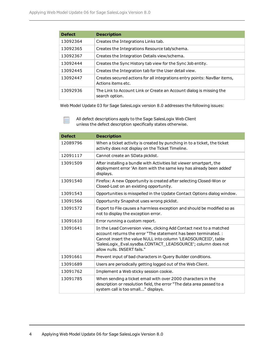F

| <b>Defect</b> | <b>Description</b>                                                                             |  |  |  |
|---------------|------------------------------------------------------------------------------------------------|--|--|--|
| 13092364      | Creates the Integrations Links tab.                                                            |  |  |  |
| 13092365      | Creates the Integrations Resource tab/schema.                                                  |  |  |  |
| 13092367      | Creates the Integration Details view/schema.                                                   |  |  |  |
| 13092444      | Creates the Sync History tab view for the Sync Job entity.                                     |  |  |  |
| 13092445      | Creates the Integration tab for the User detail view.                                          |  |  |  |
| 13092447      | Creates secured actions for all integrations entry points: NavBar items,<br>Actions items etc. |  |  |  |
| 13092936      | The Link to Account Link or Create an Account dialog is missing the<br>search option.          |  |  |  |

Web Model Update 03 for Sage SalesLogix version 8.0 addresses the following issues:

All defect descriptions apply to the Sage SalesLogix Web Client unless the defect description specifically states otherwise.

| <b>Defect</b> | <b>Description</b>                                                                                                                                                                                                                                                                                      |  |
|---------------|---------------------------------------------------------------------------------------------------------------------------------------------------------------------------------------------------------------------------------------------------------------------------------------------------------|--|
| 12089796      | When a ticket activity is created by punching in to a ticket, the ticket<br>activity does not display on the Ticket Timeline.                                                                                                                                                                           |  |
| 12091117      | Cannot create an SData picklist.                                                                                                                                                                                                                                                                        |  |
| 13091509      | After installing a bundle with Activities list viewer smartpart, the<br>deployment error 'An item with the same key has already been added'<br>displays.                                                                                                                                                |  |
| 13091540      | Firefox: A new Opportunity is created after selecting Closed-Won or<br>Closed-Lost on an existing opportunity.                                                                                                                                                                                          |  |
| 13091543      | Opportunities is misspelled in the Update Contact Options dialog window.                                                                                                                                                                                                                                |  |
| 13091566      | Opportunity Snapshot uses wrong picklist.                                                                                                                                                                                                                                                               |  |
| 13091572      | Export to File causes a harmless exception and should be modified so as<br>not to display the exception error.                                                                                                                                                                                          |  |
| 13091610      | Error running a custom report.                                                                                                                                                                                                                                                                          |  |
| 13091641      | In the Lead Conversion view, clicking Add Contact next to a matched<br>account returns the error "The statement has been terminated. :<br>Cannot insert the value NULL into column 'LEADSOURCEID', table<br>'SalesLogix_Eval.sysdba.CONTACT_LEADSOURCE'; column does not<br>allow nulls. INSERT fails." |  |
| 13091661      | Prevent input of bad characters in Query Builder conditions.                                                                                                                                                                                                                                            |  |
| 13091689      | Users are periodically getting logged out of the Web Client.                                                                                                                                                                                                                                            |  |
| 13091762      | Implement a Web sticky session cookie.                                                                                                                                                                                                                                                                  |  |
| 13091785      | When sending a ticket email with over 2000 characters in the<br>description or resolution field, the error "The data area passed to a<br>system call is too small" displays.                                                                                                                            |  |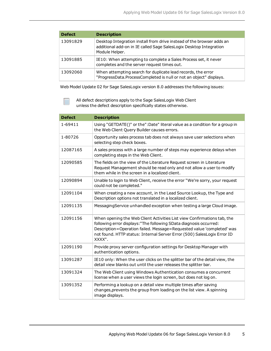| <b>Defect</b> | <b>Description</b>                                                                                                                                            |
|---------------|---------------------------------------------------------------------------------------------------------------------------------------------------------------|
| 13091829      | Desktop Integration install from drive instead of the browser adds an<br>additional add-on in IE called Sage SalesLogix Desktop Integration<br>Module Helper. |
| 13091885      | IE10: When attempting to complete a Sales Process set, it never<br>completes and the server request times out.                                                |
| 13092060      | When attempting search for duplicate lead records, the error<br>"ProgressData.ProcessCompleted is null or not an object" displays.                            |

Web Model Update 02 for Sage SalesLogix version 8.0 addresses the following issues:

All defect descriptions apply to the Sage SalesLogix Web Client unless the defect description specifically states otherwise.

| <b>Defect</b> | <b>Description</b>                                                                                                                                                                                                                                                                                          |  |  |  |
|---------------|-------------------------------------------------------------------------------------------------------------------------------------------------------------------------------------------------------------------------------------------------------------------------------------------------------------|--|--|--|
| 1-69411       | Using "GETDATE()" or the":Date" literal value as a condition for a group in<br>the Web Client Query Builder causes errors.                                                                                                                                                                                  |  |  |  |
| 1-80726       | Opportunity sales process tab does not always save user selections when<br>selecting step check boxes.                                                                                                                                                                                                      |  |  |  |
| 12087165      | A sales process with a large number of steps may experience delays when<br>completing steps in the Web Client.                                                                                                                                                                                              |  |  |  |
| 12090585      | The fields on the view of the Literature Request screen in Literature<br>Request Management should be read only and not allow a user to modify<br>them while in the screen in a localized client.                                                                                                           |  |  |  |
| 12090894      | Unable to login to Web Client, receive the error "We're sorry, your request<br>could not be completed."                                                                                                                                                                                                     |  |  |  |
| 12091104      | When creating a new account, in the Lead Source Lookup, the Type and<br>Description options not translated in a localized client.                                                                                                                                                                           |  |  |  |
| 12091135      | MessagingService unhandled exception when testing a large Cloud image.                                                                                                                                                                                                                                      |  |  |  |
| 12091156      | When opening the Web Client Activities List view Confirmations tab, the<br>following error displays: "The following SData diagnosis occurred:<br>Description=Operation failed. Message=Requested value 'completed' was<br>not found. HTTP status: Internal Server Error (500) SalesLogix Error ID<br>XXXX". |  |  |  |
| 12091190      | Provide proxy server configuration settings for Desktop Manager with<br>authentication options.                                                                                                                                                                                                             |  |  |  |
| 13091287      | IE10 only: When the user clicks on the splitter bar of the detail view, the<br>detail view blanks out until the user releases the splitter bar.                                                                                                                                                             |  |  |  |
| 13091324      | The Web Client using Windows Authentication consumes a concurrent<br>license when a user views the login screen, but does not log on.                                                                                                                                                                       |  |  |  |
| 13091352      | Performing a lookup on a detail view multiple times after saving<br>changes, prevents the group from loading on the list view. A spinning<br>image displays.                                                                                                                                                |  |  |  |

Ë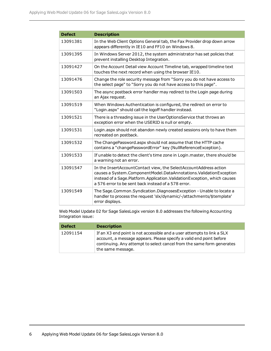| <b>Defect</b> | <b>Description</b>                                                                                                                                                                                                                                                         |  |  |  |
|---------------|----------------------------------------------------------------------------------------------------------------------------------------------------------------------------------------------------------------------------------------------------------------------------|--|--|--|
| 13091381      | In the Web Client Options General tab, the Fax Provider drop down arrow<br>appears differently in IE10 and FF10 on Windows 8.                                                                                                                                              |  |  |  |
| 13091395      | In Windows Server 2012, the system administrator has set policies that<br>prevent installing Desktop Integration.                                                                                                                                                          |  |  |  |
| 13091427      | On the Account Detail view Account Timeline tab, wrapped timeline text<br>touches the next record when using the browser IE10.                                                                                                                                             |  |  |  |
| 13091476      | Change the role security message from "Sorry you do not have access to<br>the select page" to "Sorry you do not have access to this page".                                                                                                                                 |  |  |  |
| 13091503      | The async postback error handler may redirect to the Login page during<br>an Ajax request.                                                                                                                                                                                 |  |  |  |
| 13091519      | When Windows Authentication is configured, the redirect on error to<br>"Login.aspx" should call the logoff handler instead.                                                                                                                                                |  |  |  |
| 13091521      | There is a threading issue in the UserOptionsService that throws an<br>exception error when the USERID is null or empty.                                                                                                                                                   |  |  |  |
| 13091531      | Login.aspx should not abandon newly created sessions only to have them<br>recreated on postback.                                                                                                                                                                           |  |  |  |
| 13091532      | The ChangePassword.aspx should not assume that the HTTP cache<br>contains a "changePasswordError" key (NullReferenceException).                                                                                                                                            |  |  |  |
| 13091533      | If unable to detect the client's time zone in Login. master, there should be<br>a warning not an error.                                                                                                                                                                    |  |  |  |
| 13091547      | In the InsertAccountContact view, the SelectAccountAddress action<br>causes a System.ComponentModel.DataAnnotations.ValidationException<br>instead of a Sage.Platform.Application.ValidationException, which causes<br>a 576 error to be sent back instead of a 578 error. |  |  |  |
| 13091549      | The Sage.Common.Syndication.DiagnosesException - Unable to locate a<br>handler to process the request 'slx/dynamic/-/attachments/\$template'<br>error displays.                                                                                                            |  |  |  |

Web Model Update 02 for Sage SalesLogix version 8.0 addresses the following Accounting Integration issue:

| <b>Defect</b> | <b>Description</b>                                                                                                                                                                                                                          |
|---------------|---------------------------------------------------------------------------------------------------------------------------------------------------------------------------------------------------------------------------------------------|
| 12091154      | If an X3 end point is not accessible and a user attempts to link a SLX<br>account, a message appears. Please specify a valid end point before<br>continuing. Any attempt to select cancel from the same form generates<br>the same message. |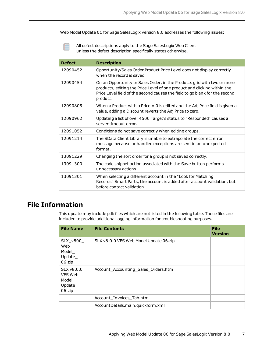Web Model Update 01 for Sage SalesLogix version 8.0 addresses the following issues:

All defect descriptions apply to the Sage SalesLogix Web Client unless the defect description specifically states otherwise.

| <b>Defect</b> | <b>Description</b>                                                                                                                                                                                                                             |  |  |  |
|---------------|------------------------------------------------------------------------------------------------------------------------------------------------------------------------------------------------------------------------------------------------|--|--|--|
| 12090452      | Opportunity/Sales Order Product Price Level does not display correctly<br>when the record is saved.                                                                                                                                            |  |  |  |
| 12090454      | On an Opportunity or Sales Order, in the Products grid with two or more<br>products, editing the Price Level of one product and clicking within the<br>Price Level field of the second causes the field to go blank for the second<br>product. |  |  |  |
| 12090805      | When a Product with a Price $= 0$ is edited and the Adj Price field is given a<br>value, adding a Discount reverts the Adj Price to zero.                                                                                                      |  |  |  |
| 12090962      | Updating a list of over 4500 Target's status to "Responded" causes a<br>server timeout error.                                                                                                                                                  |  |  |  |
| 12091052      | Conditions do not save correctly when editing groups.                                                                                                                                                                                          |  |  |  |
| 12091214      | The SData Client Library is unable to extrapolate the correct error<br>message because unhandled exceptions are sent in an unexpected<br>format.                                                                                               |  |  |  |
| 13091229      | Changing the sort order for a group is not saved correctly.                                                                                                                                                                                    |  |  |  |
| 13091300      | The code snippet action associated with the Save button performs<br>unnecessary actions.                                                                                                                                                       |  |  |  |
| 13091301      | When selecting a different account in the "Look for Matching<br>Records" Smart Parts, the account is added after account validation, but<br>before contact validation.                                                                         |  |  |  |

### **File Information**

This update may include pdb files which are not listed in the following table. These files are included to provide additional logging information for troubleshooting purposes.

| <b>File Name</b>                                        | <b>File Contents</b>                   | <b>File</b><br><b>Version</b> |
|---------------------------------------------------------|----------------------------------------|-------------------------------|
| SLX_v800_<br>Web<br>Model<br>Update_<br>06.zip          | SLX v8.0.0 VFS Web Model Update 06.zip |                               |
| $SLX$ v $8.0.0$<br>VFS Web<br>Model<br>Update<br>06.zip | Account_Accounting_Sales_Orders.htm    |                               |
|                                                         | Account_Invoices_Tab.htm               |                               |
|                                                         | AccountDetails.main.quickform.xml      |                               |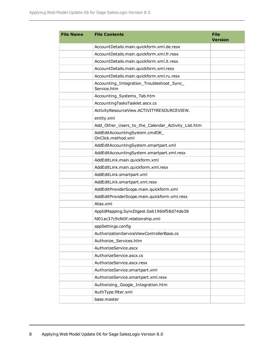| <b>File Name</b> | <b>File Contents</b>                                     | <b>File</b><br><b>Version</b> |
|------------------|----------------------------------------------------------|-------------------------------|
|                  | AccountDetails.main.quickform.xml.de.resx                |                               |
|                  | AccountDetails.main.quickform.xml.fr.resx                |                               |
|                  | AccountDetails.main.quickform.xml.it.resx                |                               |
|                  | AccountDetails.main.quickform.xml.resx                   |                               |
|                  | AccountDetails.main.quickform.xml.ru.resx                |                               |
|                  | Accounting_Integration_Troubleshoot_Sync_<br>Service.htm |                               |
|                  | Accounting_Systems_Tab.htm                               |                               |
|                  | AccountingTasksTasklet.ascx.cs                           |                               |
|                  | ActivityResourceView.ACTIVITYRESOURCEVIEW.               |                               |
|                  | entity.xml                                               |                               |
|                  | Add_Other_Users_to_the_Calendar_Activity_List.htm        |                               |
|                  | AddEditAccountingSystem.cmdOK<br>OnClick.method.xml      |                               |
|                  | AddEditAccountingSystem.smartpart.xml                    |                               |
|                  | AddEditAccountingSystem.smartpart.xml.resx               |                               |
|                  | AddEditLink.main.quickform.xml                           |                               |
|                  | AddEditLink.main.quickform.xml.resx                      |                               |
|                  | AddEditLink.smartpart.xml                                |                               |
|                  | AddEditLink.smartpart.xml.resx                           |                               |
|                  | AddEditProviderScope.main.quickform.xml                  |                               |
|                  | AddEditProviderScope.main.quickform.xml.resx             |                               |
|                  | Alias.xml                                                |                               |
|                  | AppIdMapping.SyncDigest.0a6196bf58d74de38                |                               |
|                  | fd01ac37c9cfe0f.relationship.xml                         |                               |
|                  | appSettings.config                                       |                               |
|                  | AuthorizationServiceViewControllerBase.cs                |                               |
|                  | Authorize_Services.htm                                   |                               |
|                  | AuthorizeService.ascx                                    |                               |
|                  | AuthorizeService.ascx.cs                                 |                               |
|                  | AuthorizeService.ascx.resx                               |                               |
|                  | AuthorizeService.smartpart.xml                           |                               |
|                  | AuthorizeService.smartpart.xml.resx                      |                               |
|                  | Authorizing_Google_Integration.htm                       |                               |
|                  | AuthType.filter.xml                                      |                               |
|                  | base.master                                              |                               |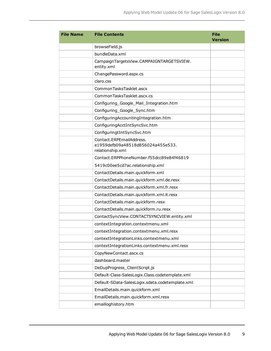| <b>File Name</b> | <b>File Contents</b>                                                              | <b>File</b><br><b>Version</b> |
|------------------|-----------------------------------------------------------------------------------|-------------------------------|
|                  | browseField.js                                                                    |                               |
|                  | bundleData.xml                                                                    |                               |
|                  | CampaignTargetsView.CAMPAIGNTARGETSVIEW.<br>entity.xml                            |                               |
|                  | ChangePassword.aspx.cs                                                            |                               |
|                  | claro.css                                                                         |                               |
|                  | CommonTasksTasklet.ascx                                                           |                               |
|                  | CommonTasksTasklet.ascx.cs                                                        |                               |
|                  | Configuring_Google_Mail_Integration.htm                                           |                               |
|                  | Configuring_Google_Sync.htm                                                       |                               |
|                  | ConfiguringAccountingIntegration.htm                                              |                               |
|                  | ConfiguringAcctIntSyncSvc.htm                                                     |                               |
|                  | ConfiguringtIntSyncSvc.htm                                                        |                               |
|                  | Contact.ERPEmailAddress.<br>e1959defb09a48518d856024a455e533.<br>relationship.xml |                               |
|                  | Contact.ERPPhoneNumber.f55dcc89e84f46819                                          |                               |
|                  | 5419c00ee5cd7ac.relationship.xml                                                  |                               |
|                  | ContactDetails.main.quickform.xml                                                 |                               |
|                  | ContactDetails.main.quickform.xml.de.resx                                         |                               |
|                  | ContactDetails.main.quickform.xml.fr.resx                                         |                               |
|                  | ContactDetails.main.quickform.xml.it.resx                                         |                               |
|                  | ContactDetails.main.quickform.resx                                                |                               |
|                  | ContactDetails.main.quickform.ru.resx                                             |                               |
|                  | ContactSyncView.CONTACTSYNCVIEW.entity.xml                                        |                               |
|                  | contextIntegration.contextmenu.xml                                                |                               |
|                  | contextIntegration.contextmenu.xml.resx                                           |                               |
|                  | contextIntegrationLinks.contextmenu.xml                                           |                               |
|                  | contextIntegrationLinks.contextmenu.xml.resx                                      |                               |
|                  | CopyNewContact.ascx.cs                                                            |                               |
|                  | dashboard.master                                                                  |                               |
|                  | DeDupProgress_ClientScript.js                                                     |                               |
|                  | Default-Class-SalesLogix.Class.codetemplate.xml                                   |                               |
|                  | Default-SData-SalesLogix.sdata.codetemplate.xml                                   |                               |
|                  | EmailDetails.main.quickform.xml                                                   |                               |
|                  | EmailDetails.main.quickform.xml.resx                                              |                               |
|                  | emailloghistory.htm                                                               |                               |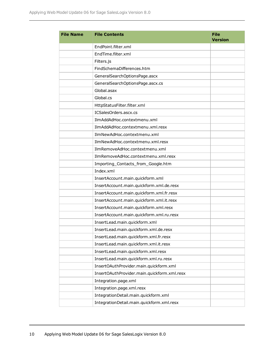| <b>File Name</b> | <b>File Contents</b>                        | <b>File</b><br><b>Version</b> |
|------------------|---------------------------------------------|-------------------------------|
|                  | EndPoint.filter.xml                         |                               |
|                  | EndTime.filter.xml                          |                               |
|                  | Filters.js                                  |                               |
|                  | FindSchemaDifferences.htm                   |                               |
|                  | GeneralSearchOptionsPage.ascx               |                               |
|                  | GeneralSearchOptionsPage.ascx.cs            |                               |
|                  | Global, asax                                |                               |
|                  | Global.cs                                   |                               |
|                  | HttpStatusFilter.filter.xml                 |                               |
|                  | ICSalesOrders.ascx.cs                       |                               |
|                  | IlmAddAdHoc.contextmenu.xml                 |                               |
|                  | IlmAddAdHoc.contextmenu.xml.resx            |                               |
|                  | IlmNewAdHoc.contextmenu.xml                 |                               |
|                  | IlmNewAdHoc.contextmenu.xml.resx            |                               |
|                  | IlmRemoveAdHoc.contextmenu.xml              |                               |
|                  | IlmRemoveAdHoc.contextmenu.xml.resx         |                               |
|                  | Importing_Contacts_from_Google.htm          |                               |
|                  | Index.xml                                   |                               |
|                  | InsertAccount.main.quickform.xml            |                               |
|                  | InsertAccount.main.quickform.xml.de.resx    |                               |
|                  | InsertAccount.main.quickform.xml.fr.resx    |                               |
|                  | InsertAccount.main.quickform.xml.it.resx    |                               |
|                  | InsertAccount.main.quickform.xml.resx       |                               |
|                  | InsertAccount.main.quickform.xml.ru.resx    |                               |
|                  | InsertLead.main.quickform.xml               |                               |
|                  | InsertLead.main.quickform.xml.de.resx       |                               |
|                  | InsertLead.main.quickform.xml.fr.resx       |                               |
|                  | InsertLead.main.quickform.xml.it.resx       |                               |
|                  | InsertLead.main.quickform.xml.resx          |                               |
|                  | InsertLead.main.quickform.xml.ru.resx       |                               |
|                  | InsertOAuthProvider.main.quickform.xml      |                               |
|                  | InsertOAuthProvider.main.quickform.xml.resx |                               |
|                  | Integration.page.xml                        |                               |
|                  | Integration.page.xml.resx                   |                               |
|                  | IntegrationDetail.main.quickform.xml        |                               |
|                  | IntegrationDetail.main.quickform.xml.resx   |                               |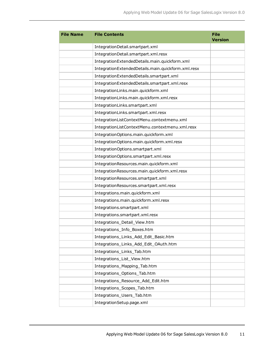| <b>File Name</b> | <b>File Contents</b>                               | <b>File</b><br><b>Version</b> |
|------------------|----------------------------------------------------|-------------------------------|
|                  | IntegrationDetail.smartpart.xml                    |                               |
|                  | IntegrationDetail.smartpart.xml.resx               |                               |
|                  | IntegrationExtendedDetails.main.quickform.xml      |                               |
|                  | IntegrationExtendedDetails.main.quickform.xml.resx |                               |
|                  | IntegrationExtendedDetails.smartpart.xml           |                               |
|                  | IntegrationExtendedDetails.smartpart.xml.resx      |                               |
|                  | IntegrationLinks.main.quickform.xml                |                               |
|                  | IntegrationLinks.main.quickform.xml.resx           |                               |
|                  | IntegrationLinks.smartpart.xml                     |                               |
|                  | IntegrationLinks.smartpart.xml.resx                |                               |
|                  | IntegrationListContextMenu.contextmenu.xml         |                               |
|                  | IntegrationListContextMenu.contextmenu.xml.resx    |                               |
|                  | IntegrationOptions.main.quickform.xml              |                               |
|                  | IntegrationOptions.main.quickform.xml.resx         |                               |
|                  | IntegrationOptions.smartpart.xml                   |                               |
|                  | IntegrationOptions.smartpart.xml.resx              |                               |
|                  | IntegrationResources.main.quickform.xml            |                               |
|                  | IntegrationResources.main.quickform.xml.resx       |                               |
|                  | IntegrationResources.smartpart.xml                 |                               |
|                  | IntegrationResources.smartpart.xml.resx            |                               |
|                  | Integrations.main.quickform.xml                    |                               |
|                  | Integrations.main.quickform.xml.resx               |                               |
|                  | Integrations.smartpart.xml                         |                               |
|                  | Integrations.smartpart.xml.resx                    |                               |
|                  | Integrations_Detail_View.htm                       |                               |
|                  | Integrations_Info_Boxes.htm                        |                               |
|                  | Integrations_Links_Add_Edit_Basic.htm              |                               |
|                  | Integrations_Links_Add_Edit_OAuth.htm              |                               |
|                  | Integrations_Links_Tab.htm                         |                               |
|                  | Integrations_List_View.htm                         |                               |
|                  | Integrations_Mapping_Tab.htm                       |                               |
|                  | Integrations_Options_Tab.htm                       |                               |
|                  | Integrations_Resource_Add_Edit.htm                 |                               |
|                  | Integrations_Scopes_Tab.htm                        |                               |
|                  | Integrations_Users_Tab.htm                         |                               |
|                  | IntegrationSetup.page.xml                          |                               |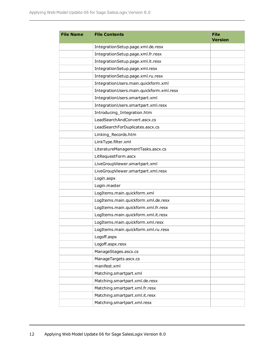| <b>File Name</b> | <b>File Contents</b>                     | <b>File</b><br><b>Version</b> |
|------------------|------------------------------------------|-------------------------------|
|                  | IntegrationSetup.page.xml.de.resx        |                               |
|                  | IntegrationSetup.page.xml.fr.resx        |                               |
|                  | IntegrationSetup.page.xml.it.resx        |                               |
|                  | IntegrationSetup.page.xml.resx           |                               |
|                  | IntegrationSetup.page.xml.ru.resx        |                               |
|                  | IntegrationUsers.main.quickform.xml      |                               |
|                  | IntegrationUsers.main.quickform.xml.resx |                               |
|                  | IntegrationUsers.smartpart.xml           |                               |
|                  | IntegrationUsers.smartpart.xml.resx      |                               |
|                  | Introducing_Integration.htm              |                               |
|                  | LeadSearchAndConvert.ascx.cs             |                               |
|                  | LeadSearchForDuplicates.ascx.cs          |                               |
|                  | Linking_Records.htm                      |                               |
|                  | LinkType.filter.xml                      |                               |
|                  | LiteratureManagementTasks.ascx.cs        |                               |
|                  | LitRequestForm.ascx                      |                               |
|                  | LiveGroupViewer.smartpart.xml            |                               |
|                  | LiveGroupViewer.smartpart.xml.resx       |                               |
|                  | Login.aspx                               |                               |
|                  | Login.master                             |                               |
|                  | LogItems.main.quickform.xml              |                               |
|                  | LogItems.main.quickform.xml.de.resx      |                               |
|                  | LogItems.main.quickform.xml.fr.resx      |                               |
|                  | LogItems.main.quickform.xml.it.resx      |                               |
|                  | LogItems.main.quickform.xml.resx         |                               |
|                  | LogItems.main.quickform.xml.ru.resx      |                               |
|                  | Logoff.aspx                              |                               |
|                  | Logoff.aspx.resx                         |                               |
|                  | ManageStages.ascx.cs                     |                               |
|                  | ManageTargets.ascx.cs                    |                               |
|                  | manifest.xml                             |                               |
|                  | Matching.smartpart.xml                   |                               |
|                  | Matching.smartpart.xml.de.resx           |                               |
|                  | Matching.smartpart.xml.fr.resx           |                               |
|                  | Matching.smartpart.xml.it.resx           |                               |
|                  | Matching.smartpart.xml.resx              |                               |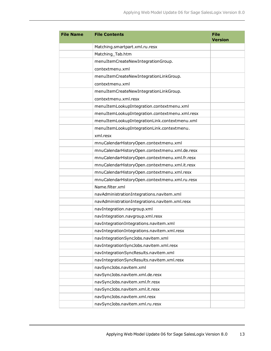| <b>File Name</b> | <b>File Contents</b>                           | <b>File</b><br><b>Version</b> |
|------------------|------------------------------------------------|-------------------------------|
|                  | Matching.smartpart.xml.ru.resx                 |                               |
|                  | Matching_Tab.htm                               |                               |
|                  | menuItemCreateNewIntegrationGroup.             |                               |
|                  | contextmenu.xml                                |                               |
|                  | menuItemCreateNewIntegrationLinkGroup.         |                               |
|                  | contextmenu.xml                                |                               |
|                  | menuItemCreateNewIntegrationLinkGroup.         |                               |
|                  | contextmenu.xml.resx                           |                               |
|                  | menuItemLookupIntegration.contextmenu.xml      |                               |
|                  | menuItemLookupIntegration.contextmenu.xml.resx |                               |
|                  | menuItemLookupIntegrationLink.contextmenu.xml  |                               |
|                  | menuItemLookupIntegrationLink.contextmenu.     |                               |
|                  | xml.resx                                       |                               |
|                  | mnuCalendarHistoryOpen.contextmenu.xml         |                               |
|                  | mnuCalendarHistoryOpen.contextmenu.xml.de.resx |                               |
|                  | mnuCalendarHistoryOpen.contextmenu.xml.fr.resx |                               |
|                  | mnuCalendarHistoryOpen.contextmenu.xml.it.resx |                               |
|                  | mnuCalendarHistoryOpen.contextmenu.xml.resx    |                               |
|                  | mnuCalendarHistoryOpen.contextmenu.xml.ru.resx |                               |
|                  | Name.filter.xml                                |                               |
|                  | navAdministrationIntegrations.navitem.xml      |                               |
|                  | navAdministrationIntegrations.navitem.xml.resx |                               |
|                  | navIntegration.navgroup.xml                    |                               |
|                  | navIntegration.navgroup.xml.resx               |                               |
|                  | navIntegrationIntegrations.navitem.xml         |                               |
|                  | navIntegrationIntegrations.navitem.xml.resx    |                               |
|                  | navIntegrationSyncJobs.navitem.xml             |                               |
|                  | navIntegrationSyncJobs.navitem.xml.resx        |                               |
|                  | navIntegrationSyncResults.navitem.xml          |                               |
|                  | navIntegrationSyncResults.navitem.xml.resx     |                               |
|                  | navSyncJobs.navitem.xml                        |                               |
|                  | navSyncJobs.navitem.xml.de.resx                |                               |
|                  | navSyncJobs.navitem.xml.fr.resx                |                               |
|                  | navSyncJobs.navitem.xml.it.resx                |                               |
|                  | navSyncJobs.navitem.xml.resx                   |                               |
|                  | navSyncJobs.navitem.xml.ru.resx                |                               |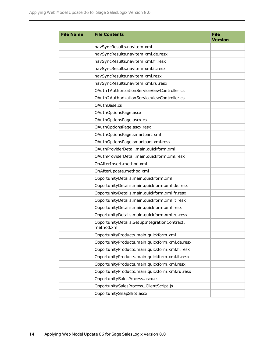| <b>File Name</b> | <b>File Contents</b>                                       | <b>File</b><br><b>Version</b> |
|------------------|------------------------------------------------------------|-------------------------------|
|                  | navSyncResults.navitem.xml                                 |                               |
|                  | navSyncResults.navitem.xml.de.resx                         |                               |
|                  | navSyncResults.navitem.xml.fr.resx                         |                               |
|                  | navSyncResults.navitem.xml.it.resx                         |                               |
|                  | navSyncResults.navitem.xml.resx                            |                               |
|                  | navSyncResults.navitem.xml.ru.resx                         |                               |
|                  | OAuth1AuthorizationServiceViewController.cs                |                               |
|                  | OAuth2AuthorizationServiceViewController.cs                |                               |
|                  | OAuthBase.cs                                               |                               |
|                  | OAuthOptionsPage.ascx                                      |                               |
|                  | OAuthOptionsPage.ascx.cs                                   |                               |
|                  | OAuthOptionsPage.ascx.resx                                 |                               |
|                  | OAuthOptionsPage.smartpart.xml                             |                               |
|                  | OAuthOptionsPage.smartpart.xml.resx                        |                               |
|                  | OAuthProviderDetail.main.quickform.xml                     |                               |
|                  | OAuthProviderDetail.main.quickform.xml.resx                |                               |
|                  | OnAfterInsert.method.xml                                   |                               |
|                  | OnAfterUpdate.method.xml                                   |                               |
|                  | OpportunityDetails.main.quickform.xml                      |                               |
|                  | OpportunityDetails.main.quickform.xml.de.resx              |                               |
|                  | OpportunityDetails.main.quickform.xml.fr.resx              |                               |
|                  | OpportunityDetails.main.quickform.xml.it.resx              |                               |
|                  | OpportunityDetails.main.quickform.xml.resx                 |                               |
|                  | OpportunityDetails.main.quickform.xml.ru.resx              |                               |
|                  | OpportunityDetails.SetupIntegrationContract.<br>method.xml |                               |
|                  | OpportunityProducts.main.quickform.xml                     |                               |
|                  | OpportunityProducts.main.quickform.xml.de.resx             |                               |
|                  | OpportunityProducts.main.quickform.xml.fr.resx             |                               |
|                  | OpportunityProducts.main.quickform.xml.it.resx             |                               |
|                  | OpportunityProducts.main.quickform.xml.resx                |                               |
|                  | OpportunityProducts.main.quickform.xml.ru.resx             |                               |
|                  | OpportunitySalesProcess.ascx.cs                            |                               |
|                  | OpportunitySalesProcess_ClientScript.js                    |                               |
|                  | OpportunitySnapShot.ascx                                   |                               |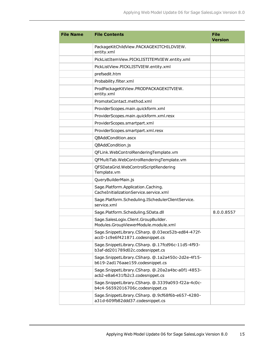| <b>File Name</b> | <b>File Contents</b>                                                                  | <b>File</b><br><b>Version</b> |
|------------------|---------------------------------------------------------------------------------------|-------------------------------|
|                  | PackageKitChildView.PACKAGEKITCHILDVIEW.<br>entity.xml                                |                               |
|                  | PickListItemView.PICKLISTITEMVIEW.entity.xml                                          |                               |
|                  | PickListView.PICKLISTVIEW.entity.xml                                                  |                               |
|                  | prefsedit.htm                                                                         |                               |
|                  | Probability.filter.xml                                                                |                               |
|                  | ProdPackageKitView.PRODPACKAGEKITVIEW.<br>entity.xml                                  |                               |
|                  | PromoteContact.method.xml                                                             |                               |
|                  | ProviderScopes.main.quickform.xml                                                     |                               |
|                  | ProviderScopes.main.quickform.xml.resx                                                |                               |
|                  | ProviderScopes.smartpart.xml                                                          |                               |
|                  | ProviderScopes.smartpart.xml.resx                                                     |                               |
|                  | QBAddCondition.ascx                                                                   |                               |
|                  | QBAddCondition.js                                                                     |                               |
|                  | QFLink.WebControlRenderingTemplate.vm                                                 |                               |
|                  | QFMultiTab.WebControlRenderingTemplate.vm                                             |                               |
|                  | QFSDataGrid.WebControlScriptRendering<br>Template.vm                                  |                               |
|                  | QueryBuilderMain.js                                                                   |                               |
|                  | Sage.Platform.Application.Caching.<br>CacheInitializationService.service.xml          |                               |
|                  | Sage.Platform.Scheduling.ISchedulerClientService.<br>service.xml                      |                               |
|                  | Sage.Platform.Scheduling.SData.dll                                                    | 8.0.0.8557                    |
|                  | Sage.SalesLogix.Client.GroupBuilder.<br>Modules.GroupViewerModule.module.xml          |                               |
|                  | Sage.SnippetLibrary.CSharp. @.03ece52b-ed84-472f-<br>acc0-1c9e6f421871.codesnippet.cs |                               |
|                  | Sage.SnippetLibrary.CSharp. @.17fcd96c-11d5-4f93-<br>b3af-dd201789d02c.codesnippet.cs |                               |
|                  | Sage.SnippetLibrary.CSharp. @.1a2a450c-2d2e-4f15-<br>b619-2ad176aae159.codesnippet.cs |                               |
|                  | Sage.SnippetLibrary.CSharp. @.20a2a4bc-a0f1-4853-<br>acb2-e8a6431fb2c3.codesnippet.cs |                               |
|                  | Sage.SnippetLibrary.CSharp. @.3339a093-f22a-4c0c-<br>b4c4-56592016706c.codesnippet.cs |                               |
|                  | Sage.SnippetLibrary.CSharp. @.9cf68f6b-e657-4280-<br>a31d-609fb82ddd37.codesnippet.cs |                               |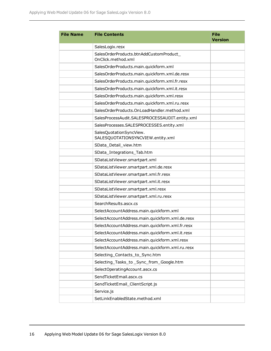| <b>File Name</b> | <b>File Contents</b>                                         | <b>File</b><br><b>Version</b> |
|------------------|--------------------------------------------------------------|-------------------------------|
|                  | SalesLogix.resx                                              |                               |
|                  | SalesOrderProducts.btnAddCustomProduct<br>OnClick.method.xml |                               |
|                  | SalesOrderProducts.main.quickform.xml                        |                               |
|                  | SalesOrderProducts.main.quickform.xml.de.resx                |                               |
|                  | SalesOrderProducts.main.quickform.xml.fr.resx                |                               |
|                  | SalesOrderProducts.main.quickform.xml.it.resx                |                               |
|                  | SalesOrderProducts.main.quickform.xml.resx                   |                               |
|                  | SalesOrderProducts.main.quickform.xml.ru.resx                |                               |
|                  | SalesOrderProducts.OnLoadHandler.method.xml                  |                               |
|                  | SalesProcessAudit.SALESPROCESSAUDIT.entity.xml               |                               |
|                  | SalesProcesses.SALESPROCESSES.entity.xml                     |                               |
|                  | SalesQuotationSyncView.<br>SALESQUOTATIONSYNCVIEW.entity.xml |                               |
|                  | SData_Detail_view.htm                                        |                               |
|                  | SData_Integrations_Tab.htm                                   |                               |
|                  | SDataListViewer.smartpart.xml                                |                               |
|                  | SDataListViewer.smartpart.xml.de.resx                        |                               |
|                  | SDataListViewer.smartpart.xml.fr.resx                        |                               |
|                  | SDataListViewer.smartpart.xml.it.resx                        |                               |
|                  | SDataListViewer.smartpart.xml.resx                           |                               |
|                  | SDataListViewer.smartpart.xml.ru.resx                        |                               |
|                  | Search Results.ascx.cs                                       |                               |
|                  | SelectAccountAddress.main.quickform.xml                      |                               |
|                  | SelectAccountAddress.main.quickform.xml.de.resx              |                               |
|                  | SelectAccountAddress.main.quickform.xml.fr.resx              |                               |
|                  | SelectAccountAddress.main.quickform.xml.it.resx              |                               |
|                  | SelectAccountAddress.main.quickform.xml.resx                 |                               |
|                  | SelectAccountAddress.main.quickform.xml.ru.resx              |                               |
|                  | Selecting_Contacts_to_Sync.htm                               |                               |
|                  | Selecting_Tasks_to_Sync_from_Google.htm                      |                               |
|                  | SelectOperatingAccount.ascx.cs                               |                               |
|                  | SendTicketEmail.ascx.cs                                      |                               |
|                  | SendTicketEmail_ClientScript.js                              |                               |
|                  | Service.js                                                   |                               |
|                  | SetLinkEnabledState.method.xml                               |                               |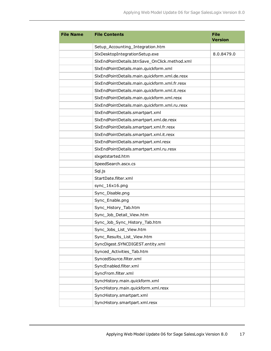| <b>File Name</b> | <b>File Contents</b>                          | <b>File</b><br><b>Version</b> |
|------------------|-----------------------------------------------|-------------------------------|
|                  | Setup_Accounting_Integration.htm              |                               |
|                  | SlxDesktopIntegrationSetup.exe                | 8.0.8479.0                    |
|                  | SlxEndPointDetails.btnSave OnClick.method.xml |                               |
|                  | SlxEndPointDetails.main.quickform.xml         |                               |
|                  | SlxEndPointDetails.main.quickform.xml.de.resx |                               |
|                  | SlxEndPointDetails.main.quickform.xml.fr.resx |                               |
|                  | SlxEndPointDetails.main.quickform.xml.it.resx |                               |
|                  | SlxEndPointDetails.main.quickform.xml.resx    |                               |
|                  | SlxEndPointDetails.main.quickform.xml.ru.resx |                               |
|                  | SlxEndPointDetails.smartpart.xml              |                               |
|                  | SlxEndPointDetails.smartpart.xml.de.resx      |                               |
|                  | SlxEndPointDetails.smartpart.xml.fr.resx      |                               |
|                  | SlxEndPointDetails.smartpart.xml.it.resx      |                               |
|                  | SlxEndPointDetails.smartpart.xml.resx         |                               |
|                  | SlxEndPointDetails.smartpart.xml.ru.resx      |                               |
|                  | slxgetstarted.htm                             |                               |
|                  | SpeedSearch.ascx.cs                           |                               |
|                  | Sql.js                                        |                               |
|                  | StartDate.filter.xml                          |                               |
|                  | sync_16x16.png                                |                               |
|                  | Sync_Disable.png                              |                               |
|                  | Sync_Enable.png                               |                               |
|                  | Sync_History_Tab.htm                          |                               |
|                  | Sync_Job_Detail_View.htm                      |                               |
|                  | Sync_Job_Sync_History_Tab.htm                 |                               |
|                  | Sync_Jobs_List_View.htm                       |                               |
|                  | Sync_Results_List_View.htm                    |                               |
|                  | SyncDigest.SYNCDIGEST.entity.xml              |                               |
|                  | Synced_Activities_Tab.htm                     |                               |
|                  | SyncedSource.filter.xml                       |                               |
|                  | SyncEnabled.filter.xml                        |                               |
|                  | SyncFrom.filter.xml                           |                               |
|                  | SyncHistory.main.quickform.xml                |                               |
|                  | SyncHistory.main.quickform.xml.resx           |                               |
|                  | SyncHistory.smartpart.xml                     |                               |
|                  | SyncHistory.smartpart.xml.resx                |                               |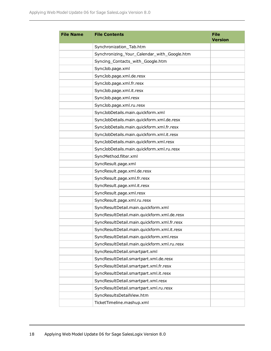| <b>File Name</b> | <b>File Contents</b>                        | <b>File</b><br><b>Version</b> |
|------------------|---------------------------------------------|-------------------------------|
|                  | Synchronization_Tab.htm                     |                               |
|                  | Synchronizing_Your_Calendar_with_Google.htm |                               |
|                  | Syncing_Contacts_with_Google.htm            |                               |
|                  | SyncJob.page.xml                            |                               |
|                  | SyncJob.page.xml.de.resx                    |                               |
|                  | SyncJob.page.xml.fr.resx                    |                               |
|                  | SyncJob.page.xml.it.resx                    |                               |
|                  | SyncJob.page.xml.resx                       |                               |
|                  | SyncJob.page.xml.ru.resx                    |                               |
|                  | SyncJobDetails.main.quickform.xml           |                               |
|                  | SyncJobDetails.main.quickform.xml.de.resx   |                               |
|                  | SyncJobDetails.main.quickform.xml.fr.resx   |                               |
|                  | SyncJobDetails.main.quickform.xml.it.resx   |                               |
|                  | SyncJobDetails.main.quickform.xml.resx      |                               |
|                  | SyncJobDetails.main.quickform.xml.ru.resx   |                               |
|                  | SyncMethod.filter.xml                       |                               |
|                  | SyncResult.page.xml                         |                               |
|                  | SyncResult.page.xml.de.resx                 |                               |
|                  | SyncResult.page.xml.fr.resx                 |                               |
|                  | SyncResult.page.xml.it.resx                 |                               |
|                  | SyncResult.page.xml.resx                    |                               |
|                  | SyncResult.page.xml.ru.resx                 |                               |
|                  | SyncResultDetail.main.quickform.xml         |                               |
|                  | SyncResultDetail.main.quickform.xml.de.resx |                               |
|                  | SyncResultDetail.main.quickform.xml.fr.resx |                               |
|                  | SyncResultDetail.main.quickform.xml.it.resx |                               |
|                  | SyncResultDetail.main.quickform.xml.resx    |                               |
|                  | SyncResultDetail.main.quickform.xml.ru.resx |                               |
|                  | SyncResultDetail.smartpart.xml              |                               |
|                  | SyncResultDetail.smartpart.xml.de.resx      |                               |
|                  | SyncResultDetail.smartpart.xml.fr.resx      |                               |
|                  | SyncResultDetail.smartpart.xml.it.resx      |                               |
|                  | SyncResultDetail.smartpart.xml.resx         |                               |
|                  | SyncResultDetail.smartpart.xml.ru.resx      |                               |
|                  | SyncResultsDetailView.htm                   |                               |
|                  | TicketTimeline.mashup.xml                   |                               |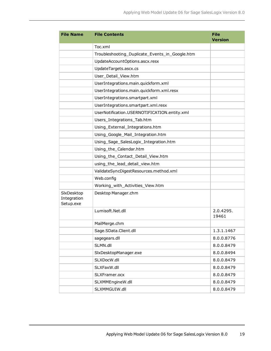| <b>File Name</b>                       | <b>File Contents</b>                           | <b>File</b><br><b>Version</b> |
|----------------------------------------|------------------------------------------------|-------------------------------|
|                                        | Toc.xml                                        |                               |
|                                        | Troubleshooting_Duplicate_Events_in_Google.htm |                               |
|                                        | UpdateAccountOptions.ascx.resx                 |                               |
|                                        | UpdateTargets.ascx.cs                          |                               |
|                                        | User Detail View.htm                           |                               |
|                                        | UserIntegrations.main.quickform.xml            |                               |
|                                        | UserIntegrations.main.quickform.xml.resx       |                               |
|                                        | UserIntegrations.smartpart.xml                 |                               |
|                                        | UserIntegrations.smartpart.xml.resx            |                               |
|                                        | UserNotification.USERNOTIFICATION.entity.xml   |                               |
|                                        | Users_Integrations_Tab.htm                     |                               |
|                                        | Using_External_Integrations.htm                |                               |
|                                        | Using Google Mail Integration.htm              |                               |
|                                        | Using_Sage_SalesLogix_Integration.htm          |                               |
|                                        | Using_the_Calendar.htm                         |                               |
|                                        | Using_the_Contact_Detail_View.htm              |                               |
|                                        | using_the_lead_detail_view.htm                 |                               |
|                                        | ValidateSyncDigestResources.method.xml         |                               |
|                                        | Web.config                                     |                               |
|                                        | Working_with_Activities_View.htm               |                               |
| SlxDesktop<br>Integration<br>Setup.exe | Desktop Manager.chm                            |                               |
|                                        | Lumisoft.Net.dll                               | 2.0.4295.<br>19461            |
|                                        | MailMerge.chm                                  |                               |
|                                        | Sage.SData.Client.dll                          | 1.3.1.1467                    |
|                                        | sagegears.dll                                  | 8.0.0.8776                    |
|                                        | SLMN.dll                                       | 8.0.0.8479                    |
|                                        | SlxDesktopManager.exe                          | 8.0.0.8494                    |
|                                        | SLXDocW.dll                                    | 8.0.0.8479                    |
|                                        | SLXFaxW.dll                                    | 8.0.0.8479                    |
|                                        | SLXFramer.ocx                                  | 8.0.0.8479                    |
|                                        | SLXMMEngineW.dll                               | 8.0.0.8479                    |
|                                        | SLXMMGUIW.dll                                  | 8.0.0.8479                    |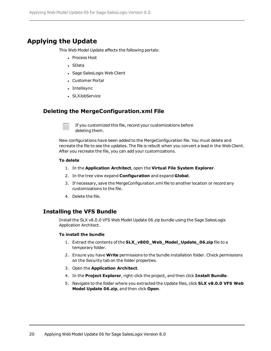### **Applying the Update**

This Web Model Update affects the following portals:

- **Process Host**
- SData
- Sage SalesLogix Web Client
- Customer Portal
- Intellisync
- SLXJobService

#### **Deleting the MergeConfiguration.xml File**

If you customized this file, record your customizations before deleting them.

New configurations have been added to the MergeConfiguration file. You must delete and recreate the file to see the updates. The file is rebuilt when you convert a lead in the Web Client. After you recreate the file, you can add your customizations.

#### **To delete**

- 1. In the **Application Architect**, open the **Virtual File System Explorer**.
- 2. In the tree view expand **Configuration** and expand **Global**.
- 3. If necessary, save the MergeConfiguration.xml file to another location or record any customizations to the file.
- 4. Delete the file.

#### **Installing the VFS Bundle**

Install the SLX v8.0.0 VFS Web Model Update 06.zip bundle using the Sage SalesLogix Application Architect.

#### **To install the bundle**

- 1. Extract the contents of the **SLX\_v800\_Web\_Model\_Update\_06.zip** file to a temporary folder.
- 2. Ensure you have **Write** permissions to the bundle installation folder. Check permissions on the Security tab on the folder properties.
- 3. Open the **Application Architect**.
- 4. In the **Project Explorer**, right-click the project, and then click **Install Bundle**.
- 5. Navigate to the folder where you extracted the Update files, click **SLX v8.0.0 VFS Web Model Update 06.zip**, and then click **Open**.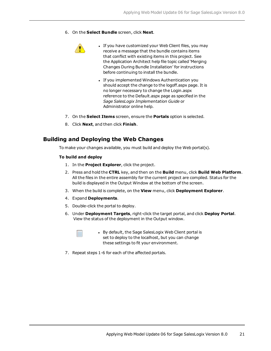6. On the **Select Bundle** screen, click **Next**.



- If you have customized your Web Client files, you may receive a message that the bundle contains items that conflict with existing items in this project. See the Application Architect help file topic called 'Merging Changes During Bundle Installation' for instructions before continuing to install the bundle.
- If you implemented Windows Authentication you should accept the change to the logoff.aspx page. It is no longer necessary to change the Login.aspx reference to the Default.aspx page as specified in the *Sage SalesLogix Implementation Guide* or Administrator online help.
- 7. On the **Select Items** screen, ensure the **Portals** option is selected.
- 8. Click **Next**, and then click **Finish**.

#### **Building and Deploying the Web Changes**

To make your changes available, you must build and deploy the Web portal(s).

#### **To build and deploy**

- 1. In the **Project Explorer**, click the project.
- 2. Press and hold the **CTRL** key, and then on the **Build** menu, click **Build Web Platform**. All the files in the entire assembly for the current project are compiled. Status for the build is displayed in the Output Window at the bottom of the screen.
- 3. When the build is complete, on the **View** menu, click **Deployment Explorer**.
- 4. Expand **Deployments**.
- 5. Double-click the portal to deploy.
- 6. Under **Deployment Targets**, right-click the target portal, and click **Deploy Portal**. View the status of the deployment in the Output window.



- By default, the Sage SalesLogix Web Client portal is set to deploy to the localhost, but you can change these settings to fit your environment.
- 7. Repeat steps 1-6 for each of the affected portals.